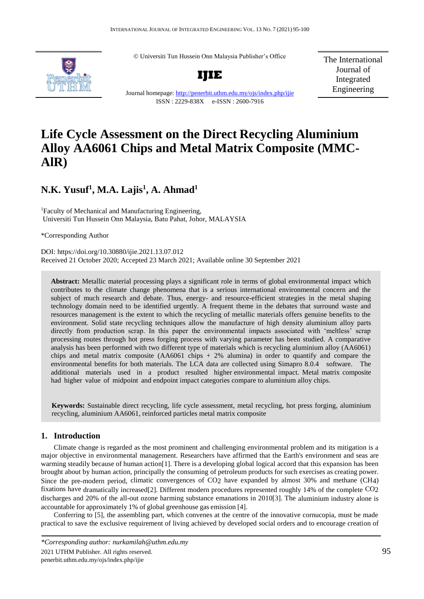© Universiti Tun Hussein Onn Malaysia Publisher's Office



**IJIE**

The International Journal of Integrated Engineering

Journal homepage:<http://penerbit.uthm.edu.my/ojs/index.php/ijie> ISSN : 2229-838X e-ISSN : 2600-7916

# **Life Cycle Assessment on the Direct Recycling Aluminium Alloy AA6061 Chips and Metal Matrix Composite (MMC-AlR)**

# **N.K. Yusuf<sup>1</sup> , M.A. Lajis<sup>1</sup> , A. Ahmad<sup>1</sup>**

<sup>1</sup>Faculty of Mechanical and Manufacturing Engineering, Universiti Tun Hussein Onn Malaysia, Batu Pahat, Johor, MALAYSIA

\*Corresponding Author

DOI: https://doi.org/10.30880/ijie.2021.13.07.012 Received 21 October 2020; Accepted 23 March 2021; Available online 30 September 2021

**Abstract:** Metallic material processing plays a significant role in terms of global environmental impact which contributes to the climate change phenomena that is a serious international environmental concern and the subject of much research and debate. Thus, energy- and resource-efficient strategies in the metal shaping technology domain need to be identified urgently. A frequent theme in the debates that surround waste and resources management is the extent to which the recycling of metallic materials offers genuine benefits to the environment. Solid state recycling techniques allow the manufacture of high density aluminium alloy parts directly from production scrap. In this paper the environmental impacts associated with 'meltless' scrap processing routes through hot press forging process with varying parameter has been studied. A comparative analysis has been performed with two different type of materials which is recycling aluminium alloy (AA6061) chips and metal matrix composite  $(AA6061 \text{ chips } + 2\% \text{ aluminum})$  in order to quantify and compare the environmental benefits for both materials. The LCA data are collected using Simapro 8.0.4 software. The additional materials used in a product resulted higher environmental impact. Metal matrix composite had higher value of midpoint and endpoint impact categories compare to aluminium alloy chips.

**Keywords:** Sustainable direct recycling, life cycle assessment, metal recycling, hot press forging, aluminium recycling, aluminium AA6061, reinforced particles metal matrix composite

#### **1. Introduction**

Climate change is regarded as the most prominent and challenging environmental problem and its mitigation is a major objective in environmental management. Researchers have affirmed that the Earth's environment and seas are warming steadily because of human action[1]. There is a developing global logical accord that this expansion has been brought about by human action, principally the consuming of petroleum products for such exercises as creating power. Since the pre-modern period, climatic convergences of CO2 have expanded by almost 30% and methane (CH4) fixations have dramatically increased[2]. Different modern procedures represented roughly 14% of the complete CO2 discharges and 20% of the all-out ozone harming substance emanations in 2010[3]. The aluminium industry alone is accountable for approximately 1% of global greenhouse gas emission [4].

Conferring to [5], the assembling part, which convenes at the centre of the innovative cornucopia, must be made practical to save the exclusive requirement of living achieved by developed social orders and to encourage creation of

*<sup>\*</sup>Corresponding author: nurkamilah@uthm.edu.my*

<sup>2021</sup> UTHM Publisher. All rights reserved. 95 penerbit.uthm.edu.my/ojs/index.php/ijie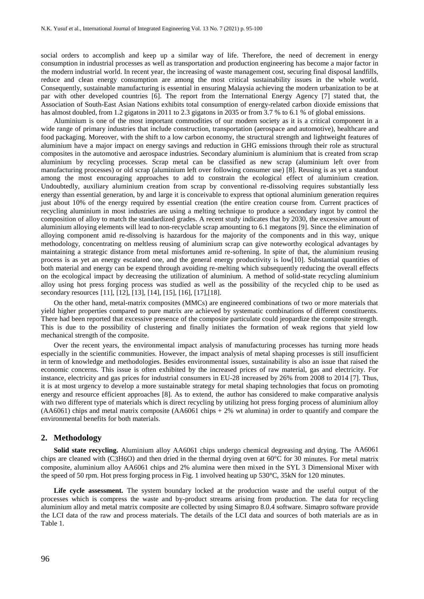social orders to accomplish and keep up a similar way of life. Therefore, the need of decrement in energy consumption in industrial processes as well as transportation and production engineering has become a major factor in the modern industrial world. In recent year, the increasing of waste management cost, securing final disposal landfills, reduce and clean energy consumption are among the most critical sustainability issues in the whole world. Consequently, sustainable manufacturing is essential in ensuring Malaysia achieving the modern urbanization to be at par with other developed countries [6]. The report from the International Energy Agency [7] stated that, the Association of South-East Asian Nations exhibits total consumption of energy-related carbon dioxide emissions that has almost doubled, from 1.2 gigatons in 2011 to 2.3 gigatons in 2035 or from 3.7 % to 6.1 % of global emissions.

Aluminium is one of the most important commodities of our modern society as it is a critical component in a wide range of primary industries that include construction, transportation (aerospace and automotive), healthcare and food packaging. Moreover, with the shift to a low carbon economy, the structural strength and lightweight features of aluminium have a major impact on energy savings and reduction in GHG emissions through their role as structural composites in the automotive and aerospace industries. Secondary aluminium is aluminium that is created from scrap aluminium by recycling processes. Scrap metal can be classified as new scrap (aluminium left over from manufacturing processes) or old scrap (aluminium left over following consumer use) [8]. Reusing is as yet a standout among the most encouraging approaches to add to constrain the ecological effect of aluminium creation. Undoubtedly, auxiliary aluminium creation from scrap by conventional re-dissolving requires substantially less energy than essential generation, by and large it is conceivable to express that optional aluminium generation requires just about 10% of the energy required by essential creation (the entire creation course from. Current practices of recycling aluminium in most industries are using a melting technique to produce a secondary ingot by control the composition of alloy to match the standardized grades. A recent study indicates that by 2030, the excessive amount of aluminium alloying elements will lead to non-recyclable scrap amounting to 6.1 megatons [9]. Since the elimination of alloying component amid re-dissolving is hazardous for the majority of the components and in this way, unique methodology, concentrating on meltless reusing of aluminium scrap can give noteworthy ecological advantages by maintaining a strategic distance from metal misfortunes amid re-softening. In spite of that, the aluminium reusing process is as yet an energy escalated one, and the general energy productivity is low[10]. Substantial quantities of both material and energy can be expend through avoiding re-melting which subsequently reducing the overall effects on the ecological impact by decreasing the utilization of aluminium. A method of solid-state recycling aluminium alloy using hot press forging process was studied as well as the possibility of the recycled chip to be used as secondary resources [11], [12], [13], [14], [15], [16], [17],[18].

On the other hand, metal-matrix composites (MMCs) are engineered combinations of two or more materials that yield higher properties compared to pure matrix are achieved by systematic combinations of different constituents. There had been reported that excessive presence of the composite particulate could jeopardize the composite strength. This is due to the possibility of clustering and finally initiates the formation of weak regions that yield low mechanical strength of the composite.

Over the recent years, the environmental impact analysis of manufacturing processes has turning more heads especially in the scientific communities. However, the impact analysis of metal shaping processes is still insufficient in term of knowledge and methodologies. Besides environmental issues, sustainability is also an issue that raised the economic concerns. This issue is often exhibited by the increased prices of raw material, gas and electricity. For instance, electricity and gas prices for industrial consumers in EU-28 increased by 26% from 2008 to 2014 [7]. Thus, it is at most urgency to develop a more sustainable strategy for metal shaping technologies that focus on promoting energy and resource efficient approaches [8]. As to extend, the author has considered to make comparative analysis with two different type of materials which is direct recycling by utilizing hot press forging process of aluminium alloy (AA6061) chips and metal matrix composite (AA6061 chips + 2% wt alumina) in order to quantify and compare the environmental benefits for both materials.

#### **2. Methodology**

**Solid state recycling.** Aluminium alloy AA6061 chips undergo chemical degreasing and drying. The AA6061 chips are cleaned with (C3H6O) and then dried in the thermal drying oven at  $60^{\circ}$ C for 30 minutes. For metal matrix composite, aluminium alloy AA6061 chips and 2% alumina were then mixed in the SYL 3 Dimensional Mixer with the speed of 50 rpm. Hot press forging process in Fig. 1 involved heating up 530°C, 35kN for 120 minutes.

**Life cycle assessment.** The system boundary locked at the production waste and the useful output of the processes which is compress the waste and by-product streams arising from production. The data for recycling aluminium alloy and metal matrix composite are collected by using Simapro 8.0.4 software. Simapro software provide the LCI data of the raw and process materials. The details of the LCI data and sources of both materials are as in Table 1.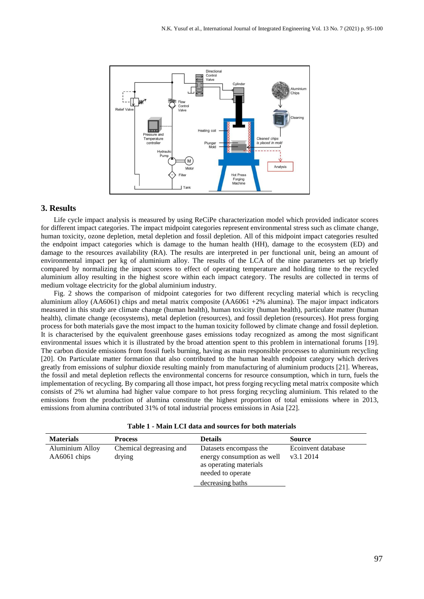

#### **3. Results**

Life cycle impact analysis is measured by using ReCiPe characterization model which provided indicator scores for different impact categories. The impact midpoint categories represent environmental stress such as climate change, human toxicity, ozone depletion, metal depletion and fossil depletion. All of this midpoint impact categories resulted the endpoint impact categories which is damage to the human health (HH), damage to the ecosystem (ED) and damage to the resources availability (RA). The results are interpreted in per functional unit, being an amount of environmental impact per kg of aluminium alloy. The results of the LCA of the nine parameters set up briefly compared by normalizing the impact scores to effect of operating temperature and holding time to the recycled aluminium alloy resulting in the highest score within each impact category. The results are collected in terms of medium voltage electricity for the global aluminium industry.

Fig. 2 shows the comparison of midpoint categories for two different recycling material which is recycling aluminium alloy (AA6061) chips and metal matrix composite (AA6061 +2% alumina). The major impact indicators measured in this study are climate change (human health), human toxicity (human health), particulate matter (human health), climate change (ecosystems), metal depletion (resources), and fossil depletion (resources). Hot press forging process for both materials gave the most impact to the human toxicity followed by climate change and fossil depletion. It is characterised by the equivalent greenhouse gases emissions today recognized as among the most significant environmental issues which it is illustrated by the broad attention spent to this problem in international forums [19]. The carbon dioxide emissions from fossil fuels burning, having as main responsible processes to aluminium recycling [20]. On Particulate matter formation that also contributed to the human health endpoint category which derives greatly from emissions of sulphur dioxide resulting mainly from manufacturing of aluminium products [21]. Whereas, the fossil and metal depletion reflects the environmental concerns for resource consumption, which in turn, fuels the implementation of recycling. By comparing all those impact, hot press forging recycling metal matrix composite which consists of 2% wt alumina had higher value compare to hot press forging recycling aluminium. This related to the emissions from the production of alumina constitute the highest proportion of total emissions where in 2013, emissions from alumina contributed 31% of total industrial process emissions in Asia [22].

|  |  |  |  |  |  | Table 1 - Main LCI data and sources for both materials |  |  |  |  |  |
|--|--|--|--|--|--|--------------------------------------------------------|--|--|--|--|--|
|--|--|--|--|--|--|--------------------------------------------------------|--|--|--|--|--|

| <b>Materials</b>                | <b>Process</b>                    | <b>Details</b>                                                                                                          | <b>Source</b>                   |
|---------------------------------|-----------------------------------|-------------------------------------------------------------------------------------------------------------------------|---------------------------------|
| Aluminium Alloy<br>AA6061 chips | Chemical degreasing and<br>drying | Datasets encompass the<br>energy consumption as well<br>as operating materials<br>needed to operate<br>decreasing baths | Ecoinvent database<br>v3.1 2014 |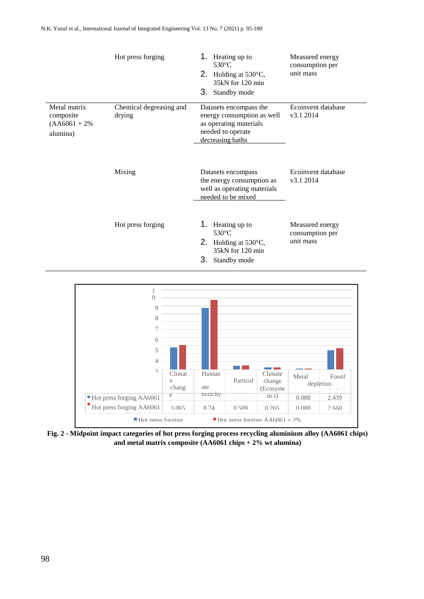|                                                           | Hot press forging                 | Heating up to<br>$530^{\circ}$ C<br>2. Holding at $530^{\circ}$ C,<br>35kN for 120 min<br>3. Standby mode               | Measured energy<br>consumption per<br>unit mass |
|-----------------------------------------------------------|-----------------------------------|-------------------------------------------------------------------------------------------------------------------------|-------------------------------------------------|
| Metal matrix<br>composite<br>$(AA6061 + 2\%)$<br>alumina) | Chemical degreasing and<br>drying | Datasets encompass the<br>energy consumption as well<br>as operating materials<br>needed to operate<br>decreasing baths | Ecoinvent database<br>v3.1 2014                 |
|                                                           | Mixing                            | Datasets encompass<br>the energy consumption as<br>well as operating materials<br>needed to be mixed                    | Ecoinvent database<br>v3.1 2014                 |
|                                                           | Hot press forging                 | Heating up to<br>$530^{\circ}$ C<br>2. Holding at $530^{\circ}$ C,<br>35kN for 120 min<br>З.<br>Standby mode            | Measured energy<br>consumption per<br>unit mass |



**Fig. 2 - Midpoint impact categories of hot press forging process recycling aluminium alloy (AA6061 chips)**  2.750 an AA6061 aluminaand metal matrix composite (AA6061 chips + 2% wt alumina)  $\mathbf{p}_2 +$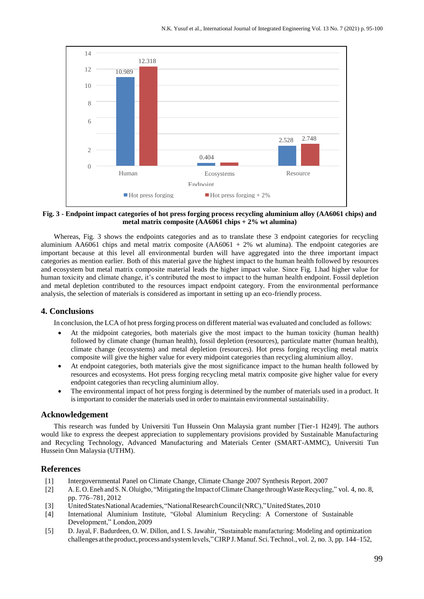

**Fig. 3 - Endpoint impact categories of hot press forging process recycling aluminium alloy (AA6061 chips) and metal matrix composite (AA6061 chips + 2% wt alumina)**

Whereas, Fig. 3 shows the endpoints categories and as to translate these 3 endpoint categories for recycling aluminium AA6061 chips and metal matrix composite  $(AA6061 + 2\%$  wt alumina). The endpoint categories are important because at this level all environmental burden will have aggregated into the three important impact categories as mention earlier. Both of this material gave the highest impact to the human health followed by resources and ecosystem but metal matrix composite material leads the higher impact value. Since Fig. 1.had higher value for human toxicity and climate change, it's contributed the most to impact to the human health endpoint. Fossil depletion and metal depletion contributed to the resources impact endpoint category. From the environmental performance analysis, the selection of materials is considered as important in setting up an eco-friendly process.

## **4. Conclusions**

In conclusion, the LCA of hot pressforging process on different material was evaluated and concluded as follows:

- At the midpoint categories, both materials give the most impact to the human toxicity (human health) followed by climate change (human health), fossil depletion (resources), particulate matter (human health), climate change (ecosystems) and metal depletion (resources). Hot press forging recycling metal matrix composite will give the higher value for every midpoint categories than recycling aluminium alloy.
- At endpoint categories, both materials give the most significance impact to the human health followed by resources and ecosystems. Hot press forging recycling metal matrix composite give higher value for every endpoint categories than recycling aluminium alloy.
- The environmental impact of hot press forging is determined by the number of materials used in a product. It isimportant to consider the materials used in order to maintain environmental sustainability.

#### **Acknowledgement**

This research was funded by Universiti Tun Hussein Onn Malaysia grant number [Tier-1 H249]. The authors would like to express the deepest appreciation to supplementary provisions provided by Sustainable Manufacturing and Recycling Technology, Advanced Manufacturing and Materials Center (SMART-AMMC), Universiti Tun Hussein Onn Malaysia (UTHM).

## **References**

- [1] Intergovernmental Panel on Climate Change, Climate Change 2007 Synthesis Report. 2007
- [2] A.E. O. Eneh and S.N. Oluigbo, "Mitigating the Impact of Climate Change through Waste Recycling," vol. 4, no. 8, pp. 776–781, 2012
- [3] UnitedStatesNationalAcademies,"NationalResearchCouncil(NRC),"UnitedStates,2010
- [4] International Aluminium Institute, "Global Aluminium Recycling: A Cornerstone of Sustainable Development," London,2009
- [5] D. Jayal, F. Badurdeen, O. W. Dillon, and I. S. Jawahir, "Sustainable manufacturing: Modeling and optimization challenges at the product, process and system levels," CIRP J. Manuf. Sci. Technol., vol. 2, no. 3, pp. 144–152,